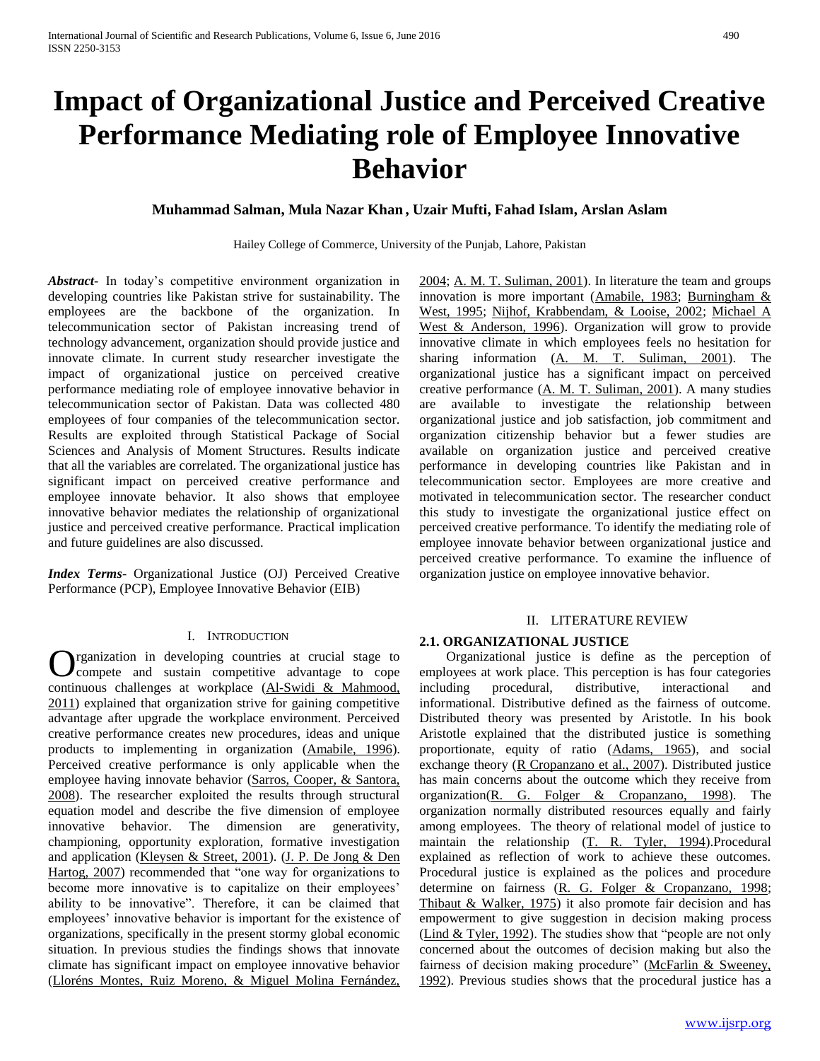# **Impact of Organizational Justice and Perceived Creative Performance Mediating role of Employee Innovative Behavior**

# **Muhammad Salman, Mula Nazar Khan , Uzair Mufti, Fahad Islam, Arslan Aslam**

Hailey College of Commerce, University of the Punjab, Lahore, Pakistan

*Abstract***-** In today's competitive environment organization in developing countries like Pakistan strive for sustainability. The employees are the backbone of the organization. In telecommunication sector of Pakistan increasing trend of technology advancement, organization should provide justice and innovate climate. In current study researcher investigate the impact of organizational justice on perceived creative performance mediating role of employee innovative behavior in telecommunication sector of Pakistan. Data was collected 480 employees of four companies of the telecommunication sector. Results are exploited through Statistical Package of Social Sciences and Analysis of Moment Structures. Results indicate that all the variables are correlated. The organizational justice has significant impact on perceived creative performance and employee innovate behavior. It also shows that employee innovative behavior mediates the relationship of organizational justice and perceived creative performance. Practical implication and future guidelines are also discussed.

*Index Terms*- Organizational Justice (OJ) Perceived Creative Performance (PCP), Employee Innovative Behavior (EIB)

#### I. INTRODUCTION

rganization in developing countries at crucial stage to compete and sustain competitive advantage to cope **C** rganization in developing countries at crucial stage to cope continuous challenges at workplace (Al-Swidi & Mahmood, 2011) explained that organization strive for gaining competitive advantage after upgrade the workplace environment. Perceived creative performance creates new procedures, ideas and unique products to implementing in organization (Amabile, 1996). Perceived creative performance is only applicable when the employee having innovate behavior (Sarros, Cooper, & Santora, 2008). The researcher exploited the results through structural equation model and describe the five dimension of employee innovative behavior. The dimension are generativity, championing, opportunity exploration, formative investigation and application (Kleysen & Street, 2001). (J. P. De Jong & Den Hartog, 2007) recommended that "one way for organizations to become more innovative is to capitalize on their employees' ability to be innovative". Therefore, it can be claimed that employees' innovative behavior is important for the existence of organizations, specifically in the present stormy global economic situation. In previous studies the findings shows that innovate climate has significant impact on employee innovative behavior (Lloréns Montes, Ruiz Moreno, & Miguel Molina Fernández,

2004; A. M. T. Suliman, 2001). In literature the team and groups innovation is more important (Amabile, 1983; Burningham & West, 1995; Nijhof, Krabbendam, & Looise, 2002; Michael A West & Anderson, 1996). Organization will grow to provide innovative climate in which employees feels no hesitation for sharing information (A. M. T. Suliman, 2001). The organizational justice has a significant impact on perceived creative performance (A. M. T. Suliman, 2001). A many studies are available to investigate the relationship between organizational justice and job satisfaction, job commitment and organization citizenship behavior but a fewer studies are available on organization justice and perceived creative performance in developing countries like Pakistan and in telecommunication sector. Employees are more creative and motivated in telecommunication sector. The researcher conduct this study to investigate the organizational justice effect on perceived creative performance. To identify the mediating role of employee innovate behavior between organizational justice and perceived creative performance. To examine the influence of organization justice on employee innovative behavior.

#### II. LITERATURE REVIEW

#### **2.1. ORGANIZATIONAL JUSTICE**

 Organizational justice is define as the perception of employees at work place. This perception is has four categories including procedural, distributive, interactional and informational. Distributive defined as the fairness of outcome. Distributed theory was presented by Aristotle. In his book Aristotle explained that the distributed justice is something proportionate, equity of ratio (Adams, 1965), and social exchange theory (R Cropanzano et al., 2007). Distributed justice has main concerns about the outcome which they receive from organization(R. G. Folger & Cropanzano, 1998). The organization normally distributed resources equally and fairly among employees. The theory of relational model of justice to maintain the relationship (T. R. Tyler, 1994).Procedural explained as reflection of work to achieve these outcomes. Procedural justice is explained as the polices and procedure determine on fairness (R. G. Folger & Cropanzano, 1998; Thibaut & Walker, 1975) it also promote fair decision and has empowerment to give suggestion in decision making process (Lind & Tyler, 1992). The studies show that "people are not only concerned about the outcomes of decision making but also the fairness of decision making procedure" (McFarlin & Sweeney, 1992). Previous studies shows that the procedural justice has a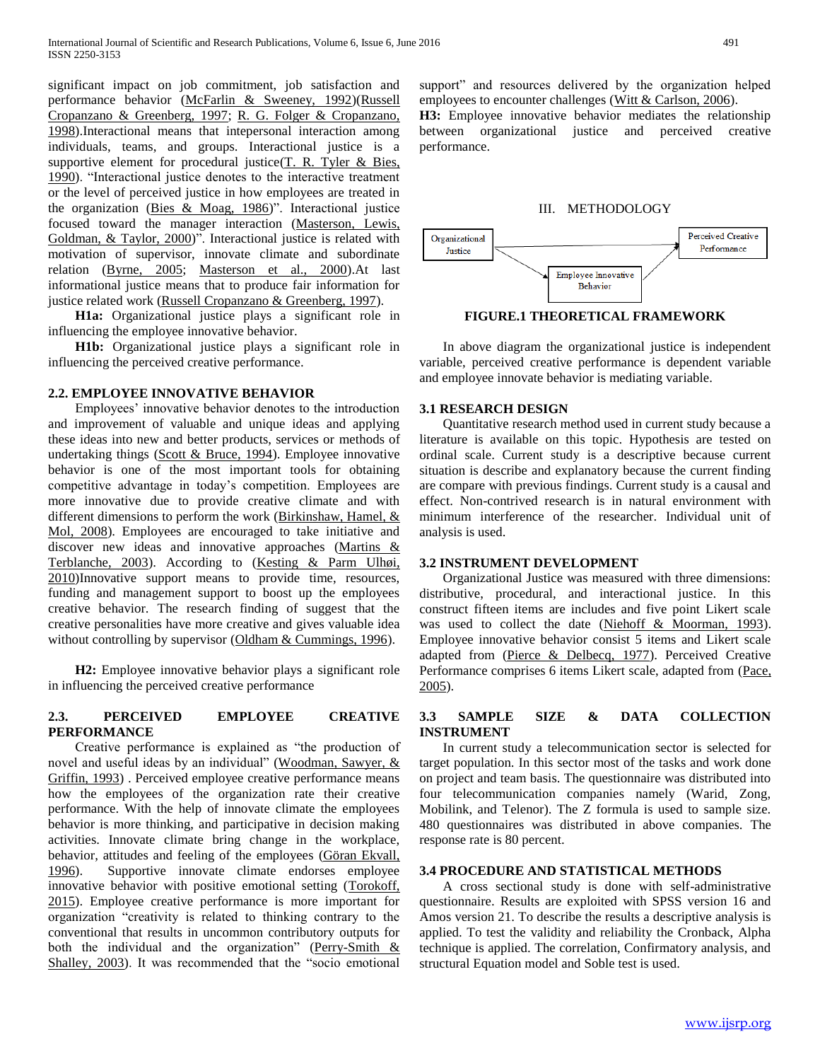significant impact on job commitment, job satisfaction and performance behavior (McFarlin & Sweeney, 1992)(Russell Cropanzano & Greenberg, 1997; R. G. Folger & Cropanzano, 1998).Interactional means that intepersonal interaction among individuals, teams, and groups. Interactional justice is a supportive element for procedural justice( $T$ . R. Tyler & Bies, 1990). "Interactional justice denotes to the interactive treatment or the level of perceived justice in how employees are treated in the organization (Bies & Moag, 1986)". Interactional justice focused toward the manager interaction (Masterson, Lewis, Goldman, & Taylor, 2000)". Interactional justice is related with motivation of supervisor, innovate climate and subordinate relation (Byrne, 2005; Masterson et al., 2000).At last informational justice means that to produce fair information for justice related work (Russell Cropanzano & Greenberg, 1997).

 **H1a:** Organizational justice plays a significant role in influencing the employee innovative behavior.

 **H1b:** Organizational justice plays a significant role in influencing the perceived creative performance.

#### **2.2. EMPLOYEE INNOVATIVE BEHAVIOR**

 Employees' innovative behavior denotes to the introduction and improvement of valuable and unique ideas and applying these ideas into new and better products, services or methods of undertaking things (Scott & Bruce, 1994). Employee innovative behavior is one of the most important tools for obtaining competitive advantage in today's competition. Employees are more innovative due to provide creative climate and with different dimensions to perform the work (Birkinshaw, Hamel, & Mol, 2008). Employees are encouraged to take initiative and discover new ideas and innovative approaches (Martins & Terblanche, 2003). According to (Kesting & Parm Ulhøi, 2010)Innovative support means to provide time, resources, funding and management support to boost up the employees creative behavior. The research finding of suggest that the creative personalities have more creative and gives valuable idea without controlling by supervisor (Oldham & Cummings, 1996).

 **H2:** Employee innovative behavior plays a significant role in influencing the perceived creative performance

#### **2.3. PERCEIVED EMPLOYEE CREATIVE PERFORMANCE**

 Creative performance is explained as "the production of novel and useful ideas by an individual" (Woodman, Sawyer, & Griffin, 1993) . Perceived employee creative performance means how the employees of the organization rate their creative performance. With the help of innovate climate the employees behavior is more thinking, and participative in decision making activities. Innovate climate bring change in the workplace, behavior, attitudes and feeling of the employees (Göran Ekvall, 1996). Supportive innovate climate endorses employee innovative behavior with positive emotional setting (Torokoff, 2015). Employee creative performance is more important for organization "creativity is related to thinking contrary to the conventional that results in uncommon contributory outputs for both the individual and the organization" (Perry-Smith  $&$ Shalley, 2003). It was recommended that the "socio emotional

support" and resources delivered by the organization helped employees to encounter challenges (Witt & Carlson, 2006). **H3:** Employee innovative behavior mediates the relationship

between organizational justice and perceived creative performance.

#### III. METHODOLOGY



**FIGURE.1 THEORETICAL FRAMEWORK**

 In above diagram the organizational justice is independent variable, perceived creative performance is dependent variable and employee innovate behavior is mediating variable.

## **3.1 RESEARCH DESIGN**

 Quantitative research method used in current study because a literature is available on this topic. Hypothesis are tested on ordinal scale. Current study is a descriptive because current situation is describe and explanatory because the current finding are compare with previous findings. Current study is a causal and effect. Non-contrived research is in natural environment with minimum interference of the researcher. Individual unit of analysis is used.

#### **3.2 INSTRUMENT DEVELOPMENT**

 Organizational Justice was measured with three dimensions: distributive, procedural, and interactional justice. In this construct fifteen items are includes and five point Likert scale was used to collect the date (Niehoff & Moorman, 1993). Employee innovative behavior consist 5 items and Likert scale adapted from (Pierce & Delbecq, 1977). Perceived Creative Performance comprises 6 items Likert scale, adapted from (Pace, 2005).

# **3.3 SAMPLE SIZE & DATA COLLECTION INSTRUMENT**

 In current study a telecommunication sector is selected for target population. In this sector most of the tasks and work done on project and team basis. The questionnaire was distributed into four telecommunication companies namely (Warid, Zong, Mobilink, and Telenor). The Z formula is used to sample size. 480 questionnaires was distributed in above companies. The response rate is 80 percent.

#### **3.4 PROCEDURE AND STATISTICAL METHODS**

 A cross sectional study is done with self-administrative questionnaire. Results are exploited with SPSS version 16 and Amos version 21. To describe the results a descriptive analysis is applied. To test the validity and reliability the Cronback, Alpha technique is applied. The correlation, Confirmatory analysis, and structural Equation model and Soble test is used.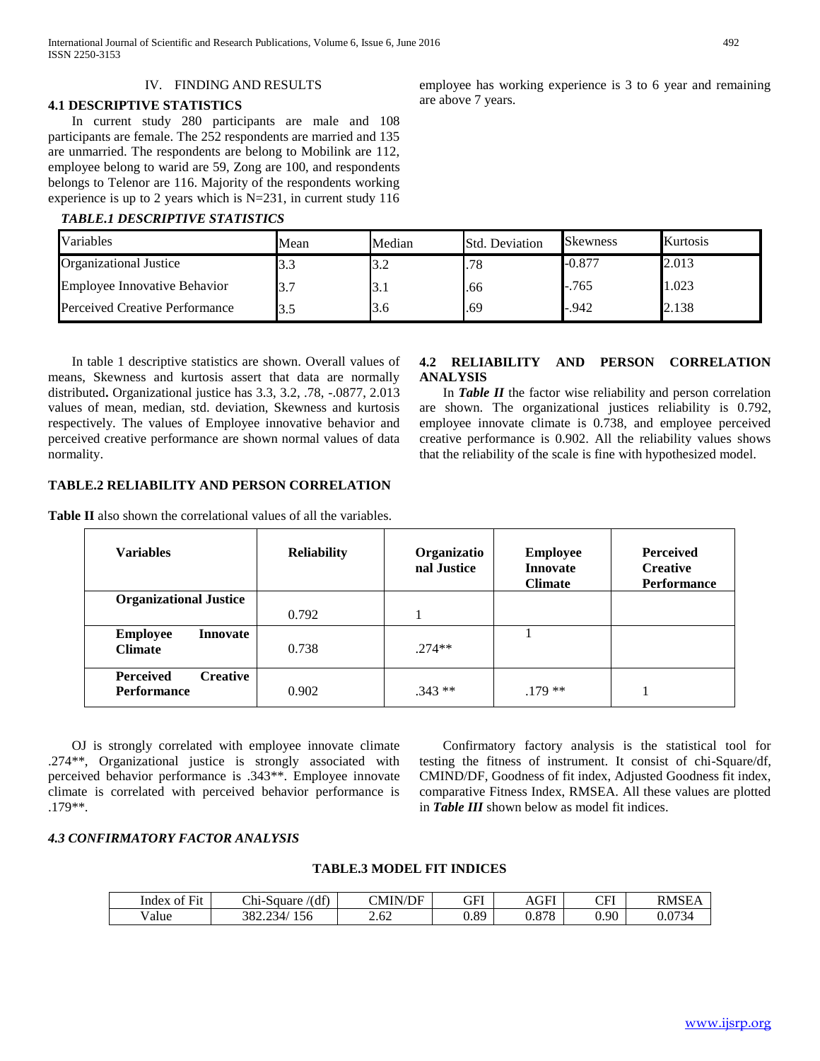#### IV. FINDING AND RESULTS

#### **4.1 DESCRIPTIVE STATISTICS**

 In current study 280 participants are male and 108 participants are female. The 252 respondents are married and 135 are unmarried. The respondents are belong to Mobilink are 112, employee belong to warid are 59, Zong are 100, and respondents belongs to Telenor are 116. Majority of the respondents working experience is up to 2 years which is N=231, in current study 116

#### *TABLE.1 DESCRIPTIVE STATISTICS*

employee has working experience is 3 to 6 year and remaining are above 7 years.

**4.2 RELIABILITY AND PERSON CORRELATION** 

 In *Table II* the factor wise reliability and person correlation are shown. The organizational justices reliability is 0.792, employee innovate climate is 0.738, and employee perceived creative performance is 0.902. All the reliability values shows that the reliability of the scale is fine with hypothesized model.

| Variables                           | Mean | Median | <b>Std. Deviation</b> | <b>Skewness</b> | Kurtosis |
|-------------------------------------|------|--------|-----------------------|-----------------|----------|
| <b>Organizational Justice</b>       | ن. ر | 3.2    | .78                   | $-0.877$        | 2.013    |
| <b>Employee Innovative Behavior</b> | J.   | э.,    | .66                   | $-.765$         | 1.023    |
| Perceived Creative Performance      |      | 3.6    | .69                   | $-942$          | 2.138    |

**ANALYSIS** 

 In table 1 descriptive statistics are shown. Overall values of means, Skewness and kurtosis assert that data are normally distributed**.** Organizational justice has 3.3, 3.2, .78, -.0877, 2.013 values of mean, median, std. deviation, Skewness and kurtosis respectively. The values of Employee innovative behavior and perceived creative performance are shown normal values of data normality.

#### **TABLE.2 RELIABILITY AND PERSON CORRELATION**

**Table II** also shown the correlational values of all the variables.

#### **Variables Reliability Organizatio nal Justice Employee Innovate Climate Perceived Creative Performance Organizational Justice**  0.792 1 **Employee Innovate Climate** 0.738 .274\*\* 1 **Perceived Creative Performance** 1 .343 **and 1** .343 **and 1** .179 **\*\*** 1

 OJ is strongly correlated with employee innovate climate .274\*\*, Organizational justice is strongly associated with perceived behavior performance is .343\*\*. Employee innovate climate is correlated with perceived behavior performance is .179\*\*.

 Confirmatory factory analysis is the statistical tool for testing the fitness of instrument. It consist of chi-Square/df, CMIND/DF, Goodness of fit index, Adjusted Goodness fit index, comparative Fitness Index, RMSEA. All these values are plotted in *Table III* shown below as model fit indices.

# *4.3 CONFIRMATORY FACTOR ANALYSIS*

# **TABLE.3 MODEL FIT INDICES**

| $\sim$ $\sim$<br>F1t<br>Index<br>ΩŤ | (df)<br>Chi-<br>Square           | N/DF<br>'NHN. | GFI  | AGFI           | $\cap$ FI<br>UI 1 | <b>RMSE</b> |
|-------------------------------------|----------------------------------|---------------|------|----------------|-------------------|-------------|
| v alue                              | 382<br>YЗ4.<br>156<br>. <u>.</u> | 2.62          | 0.89 | 070<br>u.o / o | 0.90              | 0.073       |

[www.ijsrp.org](http://ijsrp.org/)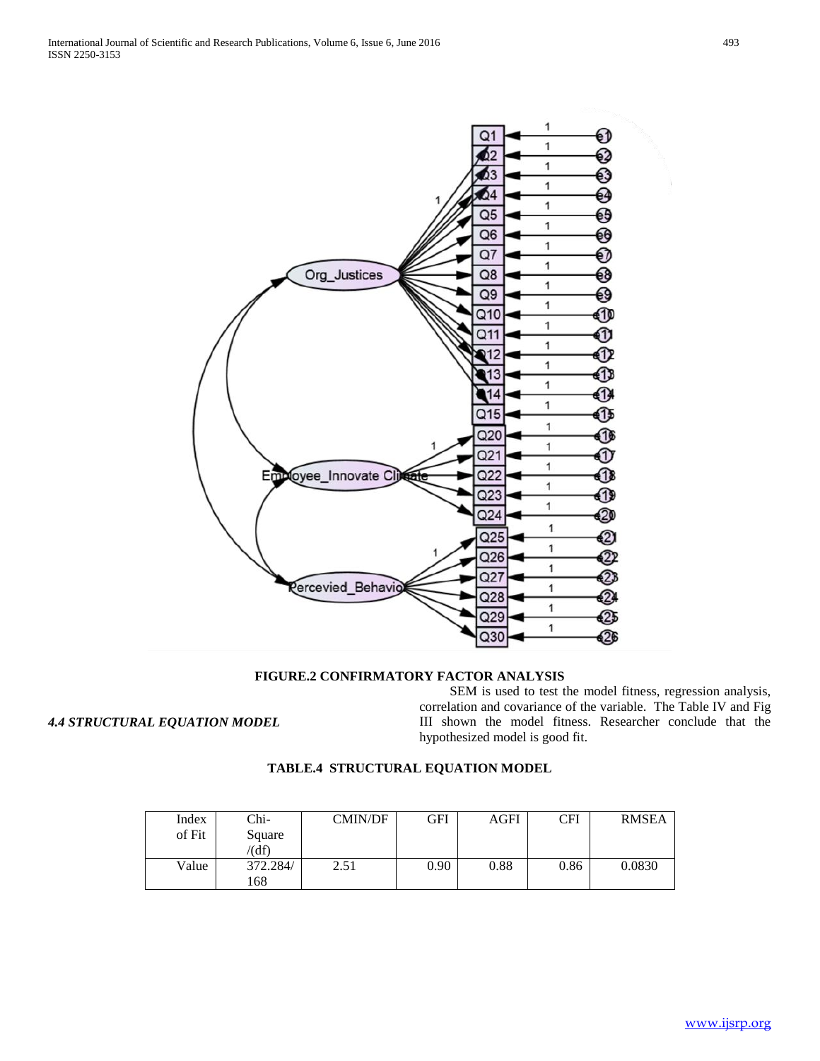

#### **FIGURE.2 CONFIRMATORY FACTOR ANALYSIS**

*4.4 STRUCTURAL EQUATION MODEL* 

 SEM is used to test the model fitness, regression analysis, correlation and covariance of the variable. The Table IV and Fig III shown the model fitness. Researcher conclude that the hypothesized model is good fit.

# **TABLE.4 STRUCTURAL EQUATION MODEL**

| Index<br>of Fit | Chi-<br>Square<br>(df) | CMIN/DF | GFI  | <b>AGFI</b> | CFI  | <b>RMSEA</b> |
|-----------------|------------------------|---------|------|-------------|------|--------------|
| Value           | 372.284/<br>.68        | 2.51    | 0.90 | 0.88        | 0.86 | 0.0830       |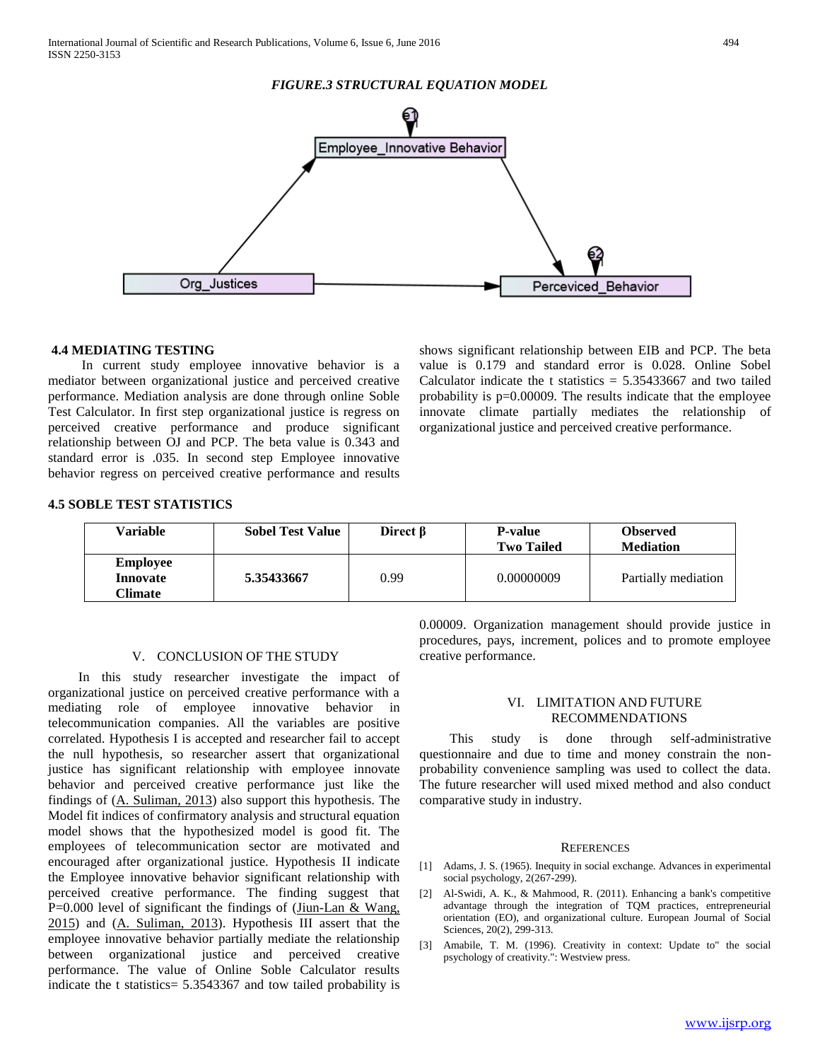## *FIGURE.3 STRUCTURAL EQUATION MODEL*



#### **4.4 MEDIATING TESTING**

 In current study employee innovative behavior is a mediator between organizational justice and perceived creative performance. Mediation analysis are done through online Soble Test Calculator. In first step organizational justice is regress on perceived creative performance and produce significant relationship between OJ and PCP. The beta value is 0.343 and standard error is .035. In second step Employee innovative behavior regress on perceived creative performance and results shows significant relationship between EIB and PCP. The beta value is 0.179 and standard error is 0.028. Online Sobel Calculator indicate the t statistics  $= 5.35433667$  and two tailed probability is p=0.00009. The results indicate that the employee innovate climate partially mediates the relationship of organizational justice and perceived creative performance.

### **4.5 SOBLE TEST STATISTICS**

| Variable                               | <b>Sobel Test Value</b> | Direct <b>B</b> | <b>P-value</b><br><b>Two Tailed</b> | <b>Observed</b><br><b>Mediation</b> |
|----------------------------------------|-------------------------|-----------------|-------------------------------------|-------------------------------------|
| <b>Employee</b><br>Innovate<br>Climate | 5.35433667              | 0.99            | 0.00000009                          | Partially mediation                 |

#### V. CONCLUSION OF THE STUDY

 In this study researcher investigate the impact of organizational justice on perceived creative performance with a mediating role of employee innovative behavior in telecommunication companies. All the variables are positive correlated. Hypothesis I is accepted and researcher fail to accept the null hypothesis, so researcher assert that organizational justice has significant relationship with employee innovate behavior and perceived creative performance just like the findings of (A. Suliman, 2013) also support this hypothesis. The Model fit indices of confirmatory analysis and structural equation model shows that the hypothesized model is good fit. The employees of telecommunication sector are motivated and encouraged after organizational justice. Hypothesis II indicate the Employee innovative behavior significant relationship with perceived creative performance. The finding suggest that P=0.000 level of significant the findings of (Jiun-Lan & Wang, 2015) and (A. Suliman, 2013). Hypothesis III assert that the employee innovative behavior partially mediate the relationship between organizational justice and perceived creative performance. The value of Online Soble Calculator results indicate the t statistics= 5.3543367 and tow tailed probability is

0.00009. Organization management should provide justice in procedures, pays, increment, polices and to promote employee creative performance.

# VI. LIMITATION AND FUTURE RECOMMENDATIONS

 This study is done through self-administrative questionnaire and due to time and money constrain the nonprobability convenience sampling was used to collect the data. The future researcher will used mixed method and also conduct comparative study in industry.

#### **REFERENCES**

- [1] Adams, J. S. (1965). Inequity in social exchange. Advances in experimental social psychology, 2(267-299).
- [2] Al-Swidi, A. K., & Mahmood, R. (2011). Enhancing a bank's competitive advantage through the integration of TQM practices, entrepreneurial orientation (EO), and organizational culture. European Journal of Social Sciences, 20(2), 299-313.
- [3] Amabile, T. M. (1996). Creativity in context: Update to" the social psychology of creativity.": Westview press.